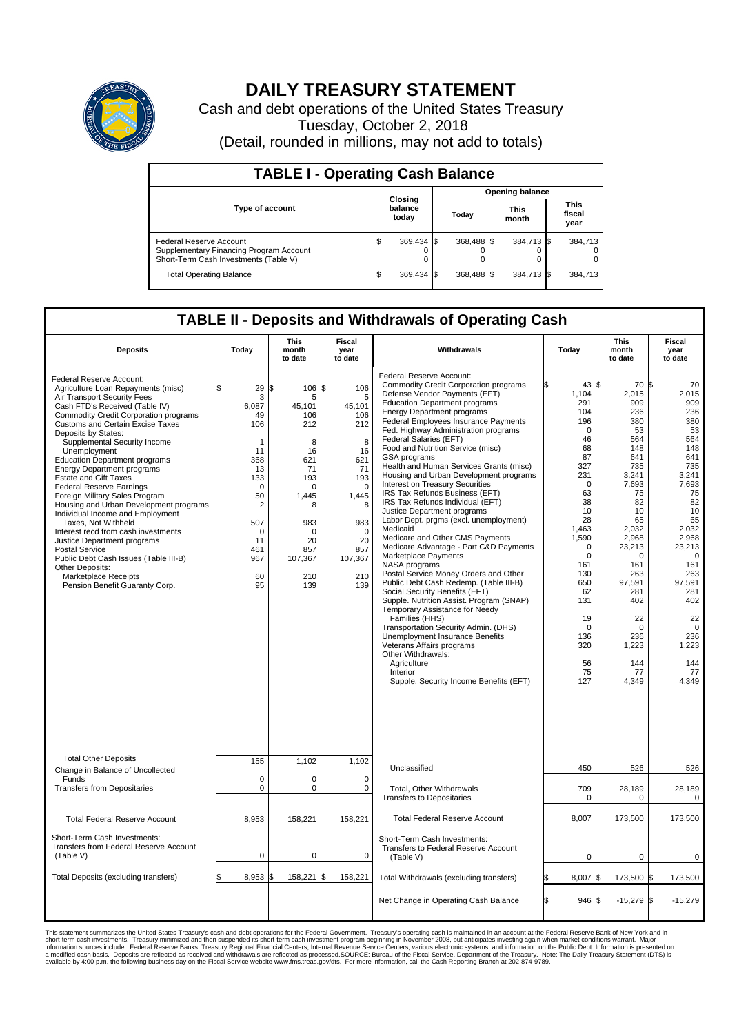

## **DAILY TREASURY STATEMENT**

Cash and debt operations of the United States Treasury Tuesday, October 2, 2018 (Detail, rounded in millions, may not add to totals)

| <b>TABLE I - Operating Cash Balance</b>                                                                     |                             |            |       |                        |                      |            |                               |         |  |  |  |
|-------------------------------------------------------------------------------------------------------------|-----------------------------|------------|-------|------------------------|----------------------|------------|-------------------------------|---------|--|--|--|
|                                                                                                             |                             |            |       | <b>Opening balance</b> |                      |            |                               |         |  |  |  |
| <b>Type of account</b>                                                                                      | Closing<br>balance<br>today |            | Today |                        | <b>This</b><br>month |            | <b>This</b><br>fiscal<br>year |         |  |  |  |
| Federal Reserve Account<br>Supplementary Financing Program Account<br>Short-Term Cash Investments (Table V) |                             | 369,434 \$ |       | 368.488 \$             |                      | 384,713 \$ |                               | 384.713 |  |  |  |
| <b>Total Operating Balance</b>                                                                              |                             | 369,434 \$ |       | 368.488 \$             |                      | 384,713 \$ |                               | 384,713 |  |  |  |

## **TABLE II - Deposits and Withdrawals of Operating Cash**

| <b>Deposits</b>                                                                                                                                                                                                                                                                                                                                                                                                                                                                                                                                                                                                                                                                                                                                                                                               | Today                                                                                                                                                      | <b>This</b><br>month<br>to date                                                                                                                          | <b>Fiscal</b><br>year<br>to date                                                                                                                            | Withdrawals                                                                                                                                                                                                                                                                                                                                                                                                                                                                                                                                                                                                                                                                                                                                                                                                                                                                                                                                                                                                                                                                                                                                                                                   | Today                                                                                                                                                                                                                                                          | <b>This</b><br>month<br>to date                                                                                                                                                                                                                   | Fiscal<br>year<br>to date                                                                                                                                                                                                                                |
|---------------------------------------------------------------------------------------------------------------------------------------------------------------------------------------------------------------------------------------------------------------------------------------------------------------------------------------------------------------------------------------------------------------------------------------------------------------------------------------------------------------------------------------------------------------------------------------------------------------------------------------------------------------------------------------------------------------------------------------------------------------------------------------------------------------|------------------------------------------------------------------------------------------------------------------------------------------------------------|----------------------------------------------------------------------------------------------------------------------------------------------------------|-------------------------------------------------------------------------------------------------------------------------------------------------------------|-----------------------------------------------------------------------------------------------------------------------------------------------------------------------------------------------------------------------------------------------------------------------------------------------------------------------------------------------------------------------------------------------------------------------------------------------------------------------------------------------------------------------------------------------------------------------------------------------------------------------------------------------------------------------------------------------------------------------------------------------------------------------------------------------------------------------------------------------------------------------------------------------------------------------------------------------------------------------------------------------------------------------------------------------------------------------------------------------------------------------------------------------------------------------------------------------|----------------------------------------------------------------------------------------------------------------------------------------------------------------------------------------------------------------------------------------------------------------|---------------------------------------------------------------------------------------------------------------------------------------------------------------------------------------------------------------------------------------------------|----------------------------------------------------------------------------------------------------------------------------------------------------------------------------------------------------------------------------------------------------------|
| Federal Reserve Account:<br>Agriculture Loan Repayments (misc)<br>Air Transport Security Fees<br>Cash FTD's Received (Table IV)<br><b>Commodity Credit Corporation programs</b><br><b>Customs and Certain Excise Taxes</b><br>Deposits by States:<br>Supplemental Security Income<br>Unemployment<br><b>Education Department programs</b><br><b>Energy Department programs</b><br><b>Estate and Gift Taxes</b><br><b>Federal Reserve Earnings</b><br>Foreign Military Sales Program<br>Housing and Urban Development programs<br>Individual Income and Employment<br>Taxes, Not Withheld<br>Interest recd from cash investments<br>Justice Department programs<br><b>Postal Service</b><br>Public Debt Cash Issues (Table III-B)<br>Other Deposits:<br>Marketplace Receipts<br>Pension Benefit Guaranty Corp. | 29<br>3<br>6,087<br>49<br>106<br>-1<br>11<br>368<br>13<br>133<br>$\mathbf 0$<br>50<br>$\overline{2}$<br>507<br>$\mathbf 0$<br>11<br>461<br>967<br>60<br>95 | 106<br>\$<br>5<br>45.101<br>106<br>212<br>8<br>16<br>621<br>71<br>193<br>$\Omega$<br>1.445<br>8<br>983<br>$\Omega$<br>20<br>857<br>107,367<br>210<br>139 | \$<br>106<br>5<br>45,101<br>106<br>212<br>8<br>16<br>621<br>71<br>193<br>$\mathbf 0$<br>1,445<br>8<br>983<br>$\Omega$<br>20<br>857<br>107,367<br>210<br>139 | Federal Reserve Account:<br><b>Commodity Credit Corporation programs</b><br>Defense Vendor Payments (EFT)<br><b>Education Department programs</b><br><b>Energy Department programs</b><br><b>Federal Employees Insurance Payments</b><br>Fed. Highway Administration programs<br>Federal Salaries (EFT)<br>Food and Nutrition Service (misc)<br>GSA programs<br>Health and Human Services Grants (misc)<br>Housing and Urban Development programs<br>Interest on Treasury Securities<br>IRS Tax Refunds Business (EFT)<br>IRS Tax Refunds Individual (EFT)<br>Justice Department programs<br>Labor Dept. prgms (excl. unemployment)<br>Medicaid<br>Medicare and Other CMS Payments<br>Medicare Advantage - Part C&D Payments<br>Marketplace Payments<br>NASA programs<br>Postal Service Money Orders and Other<br>Public Debt Cash Redemp. (Table III-B)<br>Social Security Benefits (EFT)<br>Supple. Nutrition Assist. Program (SNAP)<br>Temporary Assistance for Needy<br>Families (HHS)<br>Transportation Security Admin. (DHS)<br>Unemployment Insurance Benefits<br>Veterans Affairs programs<br>Other Withdrawals:<br>Agriculture<br>Interior<br>Supple. Security Income Benefits (EFT) | 43 \$<br>1,104<br>291<br>104<br>196<br>$\mathbf 0$<br>46<br>68<br>87<br>327<br>231<br>$\Omega$<br>63<br>38<br>10<br>28<br>1,463<br>1,590<br>$\mathbf 0$<br>$\mathbf 0$<br>161<br>130<br>650<br>62<br>131<br>19<br>$\mathbf 0$<br>136<br>320<br>56<br>75<br>127 | 70 \$<br>2,015<br>909<br>236<br>380<br>53<br>564<br>148<br>641<br>735<br>3,241<br>7.693<br>75<br>82<br>10<br>65<br>2,032<br>2.968<br>23,213<br>0<br>161<br>263<br>97,591<br>281<br>402<br>22<br>$\mathbf 0$<br>236<br>1,223<br>144<br>77<br>4,349 | 70<br>2,015<br>909<br>236<br>380<br>53<br>564<br>148<br>641<br>735<br>3,241<br>7,693<br>75<br>82<br>10<br>65<br>2,032<br>2,968<br>23,213<br>$\mathbf 0$<br>161<br>263<br>97,591<br>281<br>402<br>22<br>$\mathbf 0$<br>236<br>1,223<br>144<br>77<br>4,349 |
| <b>Total Other Deposits</b><br>Change in Balance of Uncollected                                                                                                                                                                                                                                                                                                                                                                                                                                                                                                                                                                                                                                                                                                                                               | 155                                                                                                                                                        | 1,102                                                                                                                                                    | 1,102                                                                                                                                                       | Unclassified                                                                                                                                                                                                                                                                                                                                                                                                                                                                                                                                                                                                                                                                                                                                                                                                                                                                                                                                                                                                                                                                                                                                                                                  | 450                                                                                                                                                                                                                                                            | 526                                                                                                                                                                                                                                               | 526                                                                                                                                                                                                                                                      |
| Funds<br><b>Transfers from Depositaries</b>                                                                                                                                                                                                                                                                                                                                                                                                                                                                                                                                                                                                                                                                                                                                                                   | $\mathbf 0$<br>$\mathbf 0$                                                                                                                                 | 0<br>0                                                                                                                                                   | $\mathbf 0$<br>$\mathbf 0$                                                                                                                                  | Total, Other Withdrawals<br><b>Transfers to Depositaries</b>                                                                                                                                                                                                                                                                                                                                                                                                                                                                                                                                                                                                                                                                                                                                                                                                                                                                                                                                                                                                                                                                                                                                  | 709<br>$\Omega$                                                                                                                                                                                                                                                | 28,189<br>$\Omega$                                                                                                                                                                                                                                | 28,189<br>$\Omega$                                                                                                                                                                                                                                       |
| <b>Total Federal Reserve Account</b>                                                                                                                                                                                                                                                                                                                                                                                                                                                                                                                                                                                                                                                                                                                                                                          | 8.953                                                                                                                                                      | 158.221                                                                                                                                                  | 158.221                                                                                                                                                     | <b>Total Federal Reserve Account</b>                                                                                                                                                                                                                                                                                                                                                                                                                                                                                                                                                                                                                                                                                                                                                                                                                                                                                                                                                                                                                                                                                                                                                          | 8,007                                                                                                                                                                                                                                                          | 173,500                                                                                                                                                                                                                                           | 173,500                                                                                                                                                                                                                                                  |
| Short-Term Cash Investments:<br><b>Transfers from Federal Reserve Account</b><br>(Table V)                                                                                                                                                                                                                                                                                                                                                                                                                                                                                                                                                                                                                                                                                                                    | $\mathbf 0$                                                                                                                                                | 0                                                                                                                                                        | $\mathbf 0$                                                                                                                                                 | Short-Term Cash Investments:<br>Transfers to Federal Reserve Account<br>(Table V)                                                                                                                                                                                                                                                                                                                                                                                                                                                                                                                                                                                                                                                                                                                                                                                                                                                                                                                                                                                                                                                                                                             | $\mathbf 0$                                                                                                                                                                                                                                                    | 0                                                                                                                                                                                                                                                 | 0                                                                                                                                                                                                                                                        |
| Total Deposits (excluding transfers)                                                                                                                                                                                                                                                                                                                                                                                                                                                                                                                                                                                                                                                                                                                                                                          | 8,953                                                                                                                                                      | 158,221                                                                                                                                                  | 158,221<br>\$                                                                                                                                               | Total Withdrawals (excluding transfers)                                                                                                                                                                                                                                                                                                                                                                                                                                                                                                                                                                                                                                                                                                                                                                                                                                                                                                                                                                                                                                                                                                                                                       | 8,007                                                                                                                                                                                                                                                          | 173,500 \$                                                                                                                                                                                                                                        | 173,500                                                                                                                                                                                                                                                  |
|                                                                                                                                                                                                                                                                                                                                                                                                                                                                                                                                                                                                                                                                                                                                                                                                               |                                                                                                                                                            |                                                                                                                                                          |                                                                                                                                                             | Net Change in Operating Cash Balance                                                                                                                                                                                                                                                                                                                                                                                                                                                                                                                                                                                                                                                                                                                                                                                                                                                                                                                                                                                                                                                                                                                                                          | 946 \$                                                                                                                                                                                                                                                         | $-15,279$ \$                                                                                                                                                                                                                                      | $-15,279$                                                                                                                                                                                                                                                |

This statement summarizes the United States Treasury's cash and debt operations for the Federal Government. Treasury operations was the Federal Reserve Bank of New York and in<br>short-term cash my assumptions were also that